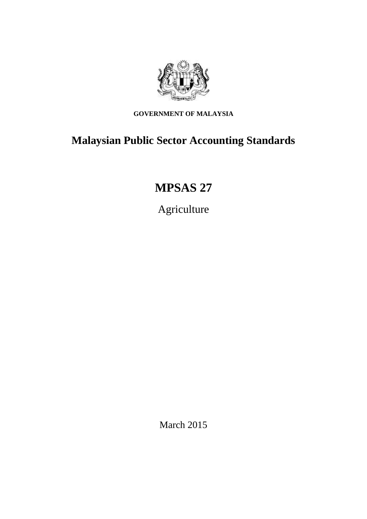

**GOVERNMENT OF MALAYSIA**

# **Malaysian Public Sector Accounting Standards**

# **MPSAS 27**

Agriculture

March 2015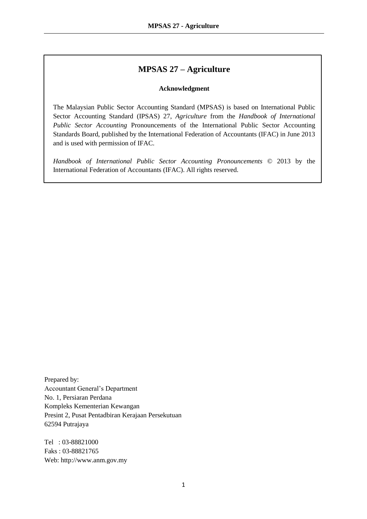# **MPSAS 27 – Agriculture**

### **Acknowledgment**

The Malaysian Public Sector Accounting Standard (MPSAS) is based on International Public Sector Accounting Standard (IPSAS) 27, *Agriculture* from the *Handbook of International Public Sector Accounting* Pronouncements of the International Public Sector Accounting Standards Board, published by the International Federation of Accountants (IFAC) in June 2013 and is used with permission of IFAC.

*Handbook of International Public Sector Accounting Pronouncements* © 2013 by the International Federation of Accountants (IFAC). All rights reserved.

Prepared by: Accountant General's Department No. 1, Persiaran Perdana Kompleks Kementerian Kewangan Presint 2, Pusat Pentadbiran Kerajaan Persekutuan 62594 Putrajaya

Tel : 03-88821000 Faks : 03-88821765 Web: http://www.anm.gov.my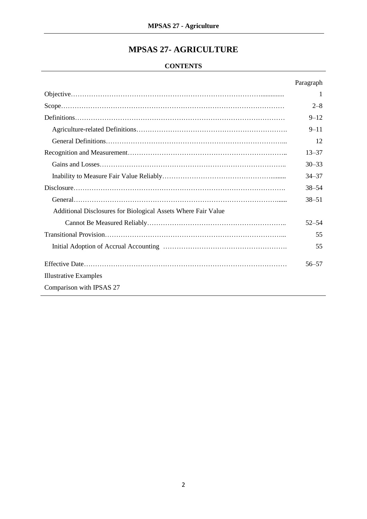# **MPSAS 27- AGRICULTURE**

# **CONTENTS**

|                                                               | Paragraph |
|---------------------------------------------------------------|-----------|
|                                                               | 1         |
|                                                               | $2 - 8$   |
|                                                               | $9 - 12$  |
|                                                               | $9 - 11$  |
|                                                               | 12        |
|                                                               | $13 - 37$ |
|                                                               | $30 - 33$ |
|                                                               | $34 - 37$ |
|                                                               | $38 - 54$ |
|                                                               | $38 - 51$ |
| Additional Disclosures for Biological Assets Where Fair Value |           |
|                                                               | $52 - 54$ |
|                                                               | 55        |
|                                                               | 55        |
|                                                               | $56 - 57$ |
| <b>Illustrative Examples</b>                                  |           |
| Comparison with IPSAS 27                                      |           |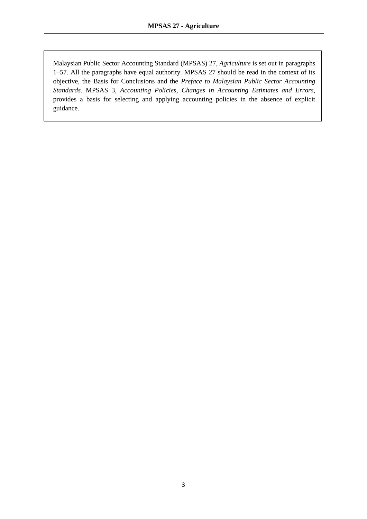Malaysian Public Sector Accounting Standard (MPSAS) 27, *Agriculture* is set out in paragraphs 1–57. All the paragraphs have equal authority. MPSAS 27 should be read in the context of its objective, the Basis for Conclusions and the *Preface to Malaysian Public Sector Accounting Standards*. MPSAS 3, *Accounting Policies, Changes in Accounting Estimates and Errors*, provides a basis for selecting and applying accounting policies in the absence of explicit guidance.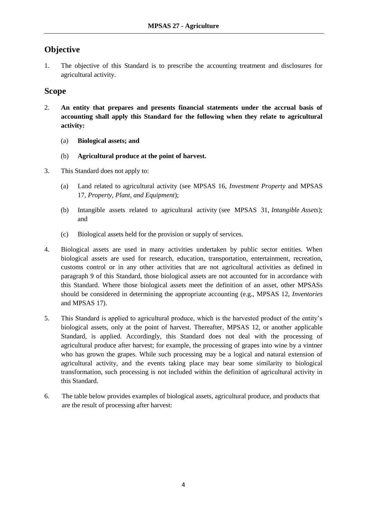# **Objective**

1. The objective of this Standard is to prescribe the accounting treatment and disclosures for agricultural activity.

# **Scope**

- 2. **An entity that prepares and presents financial statements under the accrual basis of accounting shall apply this Standard for the following when they relate to agricultural activity:** 
	- (a) **Biological assets; and**
	- (b) **Agricultural produce at the point of harvest.**
- 3. This Standard does not apply to:
	- (a) Land related to agricultural activity (see MPSAS 16, *Investment Property* and MPSAS 17, *Property, Plant, and Equipment*);
	- (b) Intangible assets related to agricultural activity (see MPSAS 31, *Intangible Assets*); and
	- (c) Biological assets held for the provision or supply of services.
- 4. Biological assets are used in many activities undertaken by public sector entities. When biological assets are used for research, education, transportation, entertainment, recreation, customs control or in any other activities that are not agricultural activities as defined in paragraph 9 of this Standard, those biological assets are not accounted for in accordance with this Standard. Where those biological assets meet the definition of an asset, other MPSASs should be considered in determining the appropriate accounting (e.g., MPSAS 12, *Inventories* and MPSAS 17).
- 5. This Standard is applied to agricultural produce, which is the harvested product of the entity's biological assets, only at the point of harvest. Thereafter, MPSAS 12, or another applicable Standard, is applied. Accordingly, this Standard does not deal with the processing of agricultural produce after harvest; for example, the processing of grapes into wine by a vintner who has grown the grapes. While such processing may be a logical and natural extension of agricultural activity, and the events taking place may bear some similarity to biological transformation, such processing is not included within the definition of agricultural activity in this Standard.
- 6. The table below provides examples of biological assets, agricultural produce, and products that are the result of processing after harvest: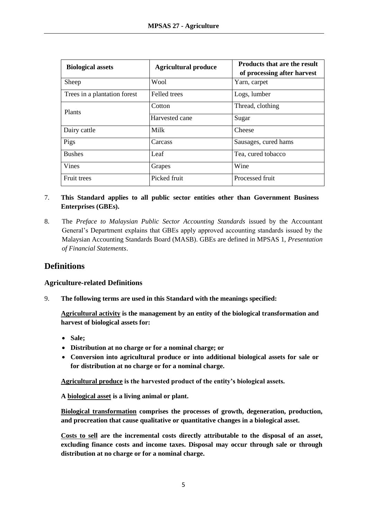| <b>Biological assets</b>     | <b>Agricultural produce</b> | <b>Products that are the result</b><br>of processing after harvest |
|------------------------------|-----------------------------|--------------------------------------------------------------------|
| Sheep                        | Wool                        | Yarn, carpet                                                       |
| Trees in a plantation forest | Felled trees                | Logs, lumber                                                       |
| Plants                       | Cotton                      | Thread, clothing                                                   |
|                              | Harvested cane              | Sugar                                                              |
| Dairy cattle                 | Milk                        | Cheese                                                             |
| Pigs                         | Carcass                     | Sausages, cured hams                                               |
| <b>Bushes</b>                | Leaf                        | Tea, cured tobacco                                                 |
| Vines                        | Grapes                      | Wine                                                               |
| <b>Fruit trees</b>           | Picked fruit                | Processed fruit                                                    |

### 7. **This Standard applies to all public sector entities other than Government Business Enterprises (GBEs).**

8. The *Preface to Malaysian Public Sector Accounting Standards* issued by the Accountant General's Department explains that GBEs apply approved accounting standards issued by the Malaysian Accounting Standards Board (MASB). GBEs are defined in MPSAS 1, *Presentation of Financial Statements*.

# **Definitions**

### **Agriculture-related Definitions**

9. **The following terms are used in this Standard with the meanings specified:** 

**Agricultural activity is the management by an entity of the biological transformation and harvest of biological assets for:** 

- **Sale;**
- **Distribution at no charge or for a nominal charge; or**
- **Conversion into agricultural produce or into additional biological assets for sale or for distribution at no charge or for a nominal charge.**

**Agricultural produce is the harvested product of the entity's biological assets.**

**A biological asset is a living animal or plant.**

**Biological transformation comprises the processes of growth, degeneration, production, and procreation that cause qualitative or quantitative changes in a biological asset.**

**Costs to sell are the incremental costs directly attributable to the disposal of an asset, excluding finance costs and income taxes. Disposal may occur through sale or through distribution at no charge or for a nominal charge.**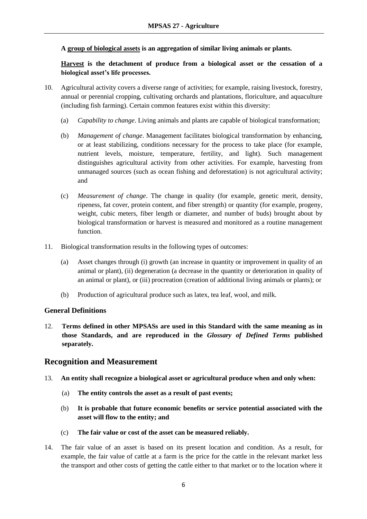**A group of biological assets is an aggregation of similar living animals or plants.**

**Harvest is the detachment of produce from a biological asset or the cessation of a biological asset's life processes.**

- 10. Agricultural activity covers a diverse range of activities; for example, raising livestock, forestry, annual or perennial cropping, cultivating orchards and plantations, floriculture, and aquaculture (including fish farming). Certain common features exist within this diversity:
	- (a) *Capability to change*. Living animals and plants are capable of biological transformation;
	- (b) *Management of change*. Management facilitates biological transformation by enhancing, or at least stabilizing, conditions necessary for the process to take place (for example, nutrient levels, moisture, temperature, fertility, and light). Such management distinguishes agricultural activity from other activities. For example, harvesting from unmanaged sources (such as ocean fishing and deforestation) is not agricultural activity; and
	- (c) *Measurement of change*. The change in quality (for example, genetic merit, density, ripeness, fat cover, protein content, and fiber strength) or quantity (for example, progeny, weight, cubic meters, fiber length or diameter, and number of buds) brought about by biological transformation or harvest is measured and monitored as a routine management function.
- 11. Biological transformation results in the following types of outcomes:
	- (a) Asset changes through (i) growth (an increase in quantity or improvement in quality of an animal or plant), (ii) degeneration (a decrease in the quantity or deterioration in quality of an animal or plant), or (iii) procreation (creation of additional living animals or plants); or
	- (b) Production of agricultural produce such as latex, tea leaf, wool, and milk.

### **General Definitions**

12. **Terms defined in other MPSASs are used in this Standard with the same meaning as in those Standards, and are reproduced in the** *Glossary of Defined Terms* **published separately.**

# **Recognition and Measurement**

- 13. **An entity shall recognize a biological asset or agricultural produce when and only when:** 
	- (a) **The entity controls the asset as a result of past events;**
	- (b) **It is probable that future economic benefits or service potential associated with the asset will flow to the entity; and**
	- (c) **The fair value or cost of the asset can be measured reliably.**
- 14. The fair value of an asset is based on its present location and condition. As a result, for example, the fair value of cattle at a farm is the price for the cattle in the relevant market less the transport and other costs of getting the cattle either to that market or to the location where it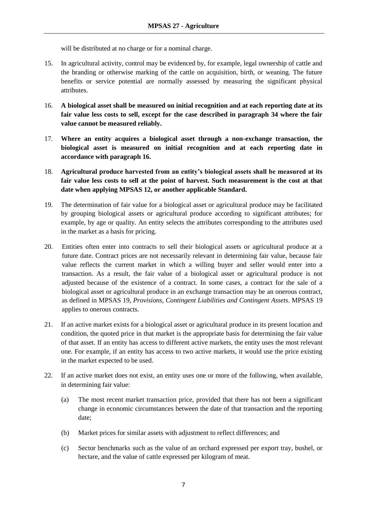will be distributed at no charge or for a nominal charge.

- 15. In agricultural activity, control may be evidenced by, for example, legal ownership of cattle and the branding or otherwise marking of the cattle on acquisition, birth, or weaning. The future benefits or service potential are normally assessed by measuring the significant physical attributes.
- 16. **A biological asset shall be measured on initial recognition and at each reporting date at its fair value less costs to sell, except for the case described in paragraph 34 where the fair value cannot be measured reliably.**
- 17. **Where an entity acquires a biological asset through a non-exchange transaction, the biological asset is measured on initial recognition and at each reporting date in accordance with paragraph 16.**
- 18. **Agricultural produce harvested from an entity's biological assets shall be measured at its fair value less costs to sell at the point of harvest. Such measurement is the cost at that date when applying MPSAS 12, or another applicable Standard.**
- 19. The determination of fair value for a biological asset or agricultural produce may be facilitated by grouping biological assets or agricultural produce according to significant attributes; for example, by age or quality. An entity selects the attributes corresponding to the attributes used in the market as a basis for pricing.
- 20. Entities often enter into contracts to sell their biological assets or agricultural produce at a future date. Contract prices are not necessarily relevant in determining fair value, because fair value reflects the current market in which a willing buyer and seller would enter into a transaction. As a result, the fair value of a biological asset or agricultural produce is not adjusted because of the existence of a contract. In some cases, a contract for the sale of a biological asset or agricultural produce in an exchange transaction may be an onerous contract, as defined in MPSAS 19, *Provisions, Contingent Liabilities and Contingent Assets*. MPSAS 19 applies to onerous contracts.
- 21. If an active market exists for a biological asset or agricultural produce in its present location and condition, the quoted price in that market is the appropriate basis for determining the fair value of that asset. If an entity has access to different active markets, the entity uses the most relevant one. For example, if an entity has access to two active markets, it would use the price existing in the market expected to be used.
- 22. If an active market does not exist, an entity uses one or more of the following, when available, in determining fair value:
	- (a) The most recent market transaction price, provided that there has not been a significant change in economic circumstances between the date of that transaction and the reporting date;
	- (b) Market prices for similar assets with adjustment to reflect differences; and
	- (c) Sector benchmarks such as the value of an orchard expressed per export tray, bushel, or hectare, and the value of cattle expressed per kilogram of meat.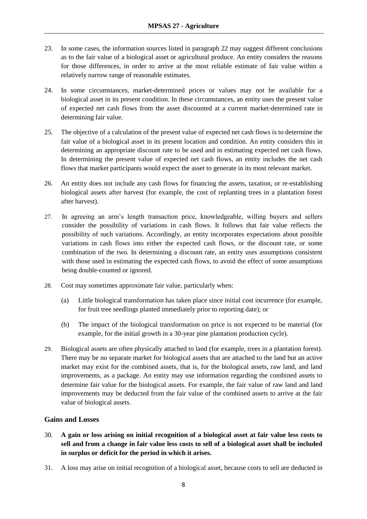- 23. In some cases, the information sources listed in paragraph 22 may suggest different conclusions as to the fair value of a biological asset or agricultural produce. An entity considers the reasons for those differences, in order to arrive at the most reliable estimate of fair value within a relatively narrow range of reasonable estimates.
- 24. In some circumstances, market-determined prices or values may not be available for a biological asset in its present condition. In these circumstances, an entity uses the present value of expected net cash flows from the asset discounted at a current market-determined rate in determining fair value.
- 25. The objective of a calculation of the present value of expected net cash flows is to determine the fair value of a biological asset in its present location and condition. An entity considers this in determining an appropriate discount rate to be used and in estimating expected net cash flows. In determining the present value of expected net cash flows, an entity includes the net cash flows that market participants would expect the asset to generate in its most relevant market.
- 26. An entity does not include any cash flows for financing the assets, taxation, or re-establishing biological assets after harvest (for example, the cost of replanting trees in a plantation forest after harvest).
- 27. In agreeing an arm's length transaction price, knowledgeable, willing buyers and sellers consider the possibility of variations in cash flows. It follows that fair value reflects the possibility of such variations. Accordingly, an entity incorporates expectations about possible variations in cash flows into either the expected cash flows, or the discount rate, or some combination of the two. In determining a discount rate, an entity uses assumptions consistent with those used in estimating the expected cash flows, to avoid the effect of some assumptions being double-counted or ignored.
- 28. Cost may sometimes approximate fair value, particularly when:
	- (a) Little biological transformation has taken place since initial cost incurrence (for example, for fruit tree seedlings planted immediately prior to reporting date); or
	- (b) The impact of the biological transformation on price is not expected to be material (for example, for the initial growth in a 30-year pine plantation production cycle).
- 29. Biological assets are often physically attached to land (for example, trees in a plantation forest). There may be no separate market for biological assets that are attached to the land but an active market may exist for the combined assets, that is, for the biological assets, raw land, and land improvements, as a package. An entity may use information regarding the combined assets to determine fair value for the biological assets. For example, the fair value of raw land and land improvements may be deducted from the fair value of the combined assets to arrive at the fair value of biological assets.

### **Gains and Losses**

- 30. **A gain or loss arising on initial recognition of a biological asset at fair value less costs to sell and from a change in fair value less costs to sell of a biological asset shall be included in surplus or deficit for the period in which it arises.**
- 31. A loss may arise on initial recognition of a biological asset, because costs to sell are deducted in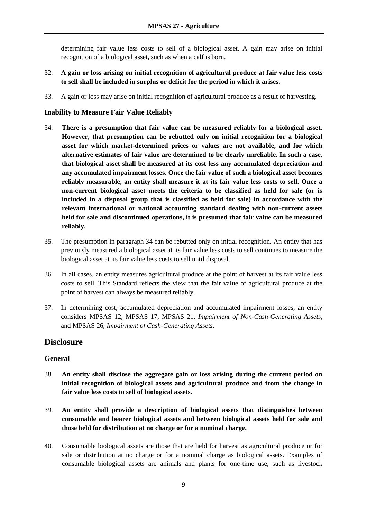determining fair value less costs to sell of a biological asset. A gain may arise on initial recognition of a biological asset, such as when a calf is born.

- 32. **A gain or loss arising on initial recognition of agricultural produce at fair value less costs to sell shall be included in surplus or deficit for the period in which it arises.**
- 33. A gain or loss may arise on initial recognition of agricultural produce as a result of harvesting.

### **Inability to Measure Fair Value Reliably**

- 34. **There is a presumption that fair value can be measured reliably for a biological asset. However, that presumption can be rebutted only on initial recognition for a biological asset for which market-determined prices or values are not available, and for which alternative estimates of fair value are determined to be clearly unreliable. In such a case, that biological asset shall be measured at its cost less any accumulated depreciation and any accumulated impairment losses. Once the fair value of such a biological asset becomes reliably measurable, an entity shall measure it at its fair value less costs to sell. Once a non-current biological asset meets the criteria to be classified as held for sale (or is included in a disposal group that is classified as held for sale) in accordance with the relevant international or national accounting standard dealing with non-current assets held for sale and discontinued operations, it is presumed that fair value can be measured reliably.**
- 35. The presumption in paragraph 34 can be rebutted only on initial recognition. An entity that has previously measured a biological asset at its fair value less costs to sell continues to measure the biological asset at its fair value less costs to sell until disposal.
- 36. In all cases, an entity measures agricultural produce at the point of harvest at its fair value less costs to sell. This Standard reflects the view that the fair value of agricultural produce at the point of harvest can always be measured reliably.
- 37. In determining cost, accumulated depreciation and accumulated impairment losses, an entity considers MPSAS 12, MPSAS 17, MPSAS 21, *Impairment of Non-Cash-Generating Assets*, and MPSAS 26, *Impairment of Cash-Generating Assets*.

# **Disclosure**

### **General**

- 38. **An entity shall disclose the aggregate gain or loss arising during the current period on initial recognition of biological assets and agricultural produce and from the change in fair value less costs to sell of biological assets.**
- 39. **An entity shall provide a description of biological assets that distinguishes between consumable and bearer biological assets and between biological assets held for sale and those held for distribution at no charge or for a nominal charge.**
- 40. Consumable biological assets are those that are held for harvest as agricultural produce or for sale or distribution at no charge or for a nominal charge as biological assets. Examples of consumable biological assets are animals and plants for one-time use, such as livestock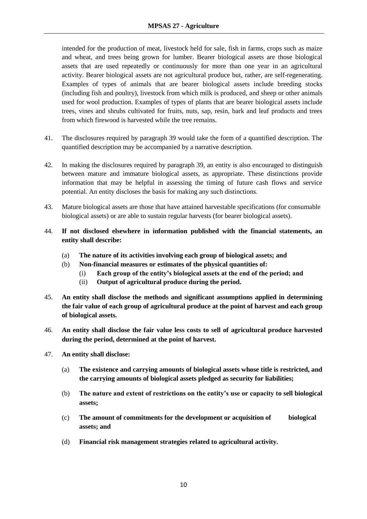intended for the production of meat, livestock held for sale, fish in farms, crops such as maize and wheat, and trees being grown for lumber. Bearer biological assets are those biological assets that are used repeatedly or continuously for more than one year in an agricultural activity. Bearer biological assets are not agricultural produce but, rather, are self-regenerating. Examples of types of animals that are bearer biological assets include breeding stocks (including fish and poultry), livestock from which milk is produced, and sheep or other animals used for wool production. Examples of types of plants that are bearer biological assets include trees, vines and shrubs cultivated for fruits, nuts, sap, resin, bark and leaf products and trees from which firewood is harvested while the tree remains.

- 41. The disclosures required by paragraph 39 would take the form of a quantified description. The quantified description may be accompanied by a narrative description.
- 42. In making the disclosures required by paragraph 39, an entity is also encouraged to distinguish between mature and immature biological assets, as appropriate. These distinctions provide information that may be helpful in assessing the timing of future cash flows and service potential. An entity discloses the basis for making any such distinctions.
- 43. Mature biological assets are those that have attained harvestable specifications (for consumable biological assets) or are able to sustain regular harvests (for bearer biological assets).
- 44. **If not disclosed elsewhere in information published with the financial statements, an entity shall describe:** 
	- (a) **The nature of its activities involving each group of biological assets; and**
	- (b) **Non-financial measures or estimates of the physical quantities of:** 
		- (i) **Each group of the entity's biological assets at the end of the period; and**
		- (ii) **Output of agricultural produce during the period.**
- 45. **An entity shall disclose the methods and significant assumptions applied in determining the fair value of each group of agricultural produce at the point of harvest and each group of biological assets.**
- 46. **An entity shall disclose the fair value less costs to sell of agricultural produce harvested during the period, determined at the point of harvest.**
- 47. **An entity shall disclose:** 
	- (a) **The existence and carrying amounts of biological assets whose title is restricted, and the carrying amounts of biological assets pledged as security for liabilities;**
	- (b) **The nature and extent of restrictions on the entity's use or capacity to sell biological assets;**
	- (c) **The amount of commitments for the development or acquisition of biological assets; and**
	- (d) **Financial risk management strategies related to agricultural activity.**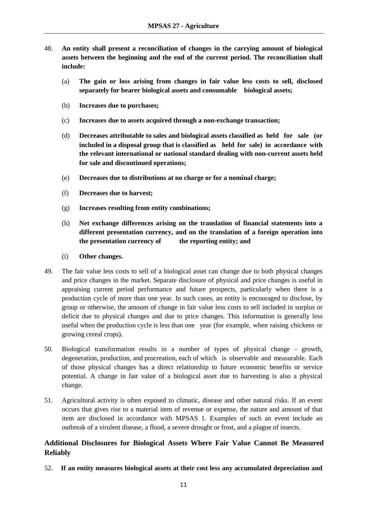- 48. **An entity shall present a reconciliation of changes in the carrying amount of biological assets between the beginning and the end of the current period. The reconciliation shall include:**
	- (a) **The gain or loss arising from changes in fair value less costs to sell, disclosed separately for bearer biological assets and consumable biological assets;**
	- (b) **Increases due to purchases;**
	- (c) **Increases due to assets acquired through a non-exchange transaction;**
	- (d) **Decreases attributable to sales and biological assets classified as held for sale (or included in a disposal group that is classified as held for sale) in accordance with the relevant international or national standard dealing with non-current assets held for sale and discontinued operations;**
	- (e) **Decreases due to distributions at no charge or for a nominal charge;**
	- (f) **Decreases due to harvest;**
	- (g) **Increases resulting from entity combinations;**
	- (h) **Net exchange differences arising on the translation of financial statements into a different presentation currency, and on the translation of a foreign operation into the presentation currency of the reporting entity; and**
	- (i) **Other changes.**
- 49. The fair value less costs to sell of a biological asset can change due to both physical changes and price changes in the market. Separate disclosure of physical and price changes is useful in appraising current period performance and future prospects, particularly when there is a production cycle of more than one year. In such cases, an entity is encouraged to disclose, by group or otherwise, the amount of change in fair value less costs to sell included in surplus or deficit due to physical changes and due to price changes. This information is generally less useful when the production cycle is less than one year (for example, when raising chickens or growing cereal crops).
- 50. Biological transformation results in a number of types of physical change growth, degeneration, production, and procreation, each of which is observable and measurable. Each of those physical changes has a direct relationship to future economic benefits or service potential. A change in fair value of a biological asset due to harvesting is also a physical change.
- 51. Agricultural activity is often exposed to climatic, disease and other natural risks. If an event occurs that gives rise to a material item of revenue or expense, the nature and amount of that item are disclosed in accordance with MPSAS 1. Examples of such an event include an outbreak of a virulent disease, a flood, a severe drought or frost, and a plague of insects.

### **Additional Disclosures for Biological Assets Where Fair Value Cannot Be Measured Reliably**

52. **If an entity measures biological assets at their cost less any accumulated depreciation and**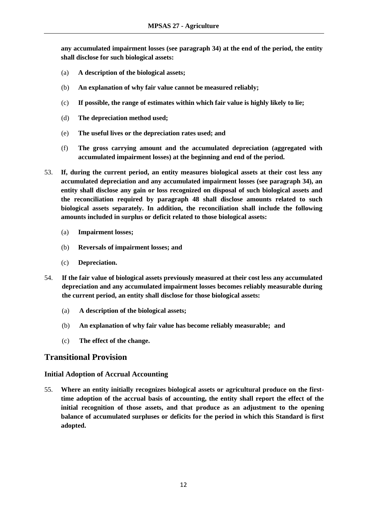**any accumulated impairment losses (see paragraph 34) at the end of the period, the entity shall disclose for such biological assets:** 

- (a) **A description of the biological assets;**
- (b) **An explanation of why fair value cannot be measured reliably;**
- (c) **If possible, the range of estimates within which fair value is highly likely to lie;**
- (d) **The depreciation method used;**
- (e) **The useful lives or the depreciation rates used; and**
- (f) **The gross carrying amount and the accumulated depreciation (aggregated with accumulated impairment losses) at the beginning and end of the period.**
- 53. **If, during the current period, an entity measures biological assets at their cost less any accumulated depreciation and any accumulated impairment losses (see paragraph 34), an entity shall disclose any gain or loss recognized on disposal of such biological assets and the reconciliation required by paragraph 48 shall disclose amounts related to such biological assets separately. In addition, the reconciliation shall include the following amounts included in surplus or deficit related to those biological assets:** 
	- (a) **Impairment losses;**
	- (b) **Reversals of impairment losses; and**
	- (c) **Depreciation.**
- 54. **If the fair value of biological assets previously measured at their cost less any accumulated depreciation and any accumulated impairment losses becomes reliably measurable during the current period, an entity shall disclose for those biological assets:**
	- (a) **A** description of the biological assets;
	- (b) **An explanation of why fair value has become reliably measurable; and**
	- (c) **The effect of the change.**

# **Transitional Provision**

### **Initial Adoption of Accrual Accounting**

55. **Where an entity initially recognizes biological assets or agricultural produce on the firsttime adoption of the accrual basis of accounting, the entity shall report the effect of the initial recognition of those assets, and that produce as an adjustment to the opening balance of accumulated surpluses or deficits for the period in which this Standard is first adopted.**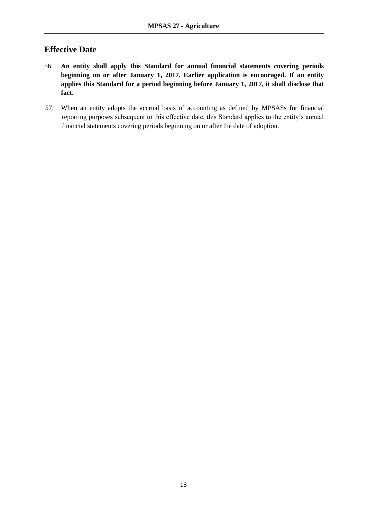# **Effective Date**

- 56. **An entity shall apply this Standard for annual financial statements covering periods beginning on or after January 1, 2017. Earlier application is encouraged. If an entity applies this Standard for a period beginning before January 1, 2017, it shall disclose that fact.**
- 57. When an entity adopts the accrual basis of accounting as defined by MPSASs for financial reporting purposes subsequent to this effective date, this Standard applies to the entity's annual financial statements covering periods beginning on or after the date of adoption.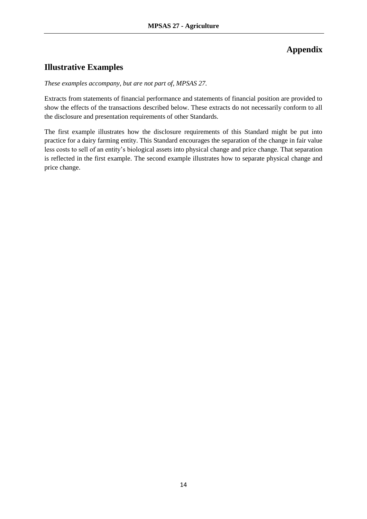# **Appendix**

# **Illustrative Examples**

### *These examples accompany, but are not part of, MPSAS 27.*

Extracts from statements of financial performance and statements of financial position are provided to show the effects of the transactions described below. These extracts do not necessarily conform to all the disclosure and presentation requirements of other Standards.

The first example illustrates how the disclosure requirements of this Standard might be put into practice for a dairy farming entity. This Standard encourages the separation of the change in fair value less costs to sell of an entity's biological assets into physical change and price change. That separation is reflected in the first example. The second example illustrates how to separate physical change and price change.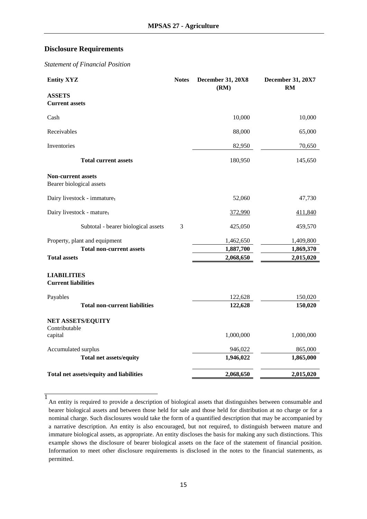### **Disclosure Requirements**

*Statement of Financial Position*

| <b>Entity XYZ</b>                                     | <b>Notes</b> | <b>December 31, 20X8</b><br>(RM) | <b>December 31, 20X7</b><br>RM |
|-------------------------------------------------------|--------------|----------------------------------|--------------------------------|
| <b>ASSETS</b>                                         |              |                                  |                                |
| <b>Current assets</b>                                 |              |                                  |                                |
| Cash                                                  |              | 10,000                           | 10,000                         |
| Receivables                                           |              | 88,000                           | 65,000                         |
| Inventories                                           |              | 82,950                           | 70,650                         |
| <b>Total current assets</b>                           |              | 180,950                          | 145,650                        |
| <b>Non-current assets</b><br>Bearer biological assets |              |                                  |                                |
|                                                       |              |                                  |                                |
| Dairy livestock - immature <sub>1</sub>               |              | 52,060                           | 47,730                         |
| Dairy livestock - mature <sub>1</sub>                 |              | 372,990                          | 411,840                        |
| Subtotal - bearer biological assets                   | 3            | 425,050                          | 459,570                        |
| Property, plant and equipment                         |              | 1,462,650                        | 1,409,800                      |
| <b>Total non-current assets</b>                       |              | 1,887,700                        | 1,869,370                      |
| <b>Total assets</b>                                   |              | 2,068,650                        | 2,015,020                      |
| <b>LIABILITIES</b><br><b>Current liabilities</b>      |              |                                  |                                |
|                                                       |              |                                  |                                |
| Payables                                              |              | 122,628                          | 150,020                        |
| <b>Total non-current liabilities</b>                  |              | 122,628                          | 150,020                        |
| NET ASSETS/EQUITY                                     |              |                                  |                                |
| Contributable<br>capital                              |              | 1,000,000                        | 1,000,000                      |
| Accumulated surplus                                   |              | 946,022                          | 865,000                        |
| <b>Total net assets/equity</b>                        |              | 1,946,022                        | 1,865,000                      |
| Total net assets/equity and liabilities               |              | 2,068,650                        | 2,015,020                      |

<sup>1</sup> An entity is required to provide a description of biological assets that distinguishes between consumable and bearer biological assets and between those held for sale and those held for distribution at no charge or for a nominal charge. Such disclosures would take the form of a quantified description that may be accompanied by a narrative description. An entity is also encouraged, but not required, to distinguish between mature and immature biological assets, as appropriate. An entity discloses the basis for making any such distinctions. This example shows the disclosure of bearer biological assets on the face of the statement of financial position. Information to meet other disclosure requirements is disclosed in the notes to the financial statements, as permitted.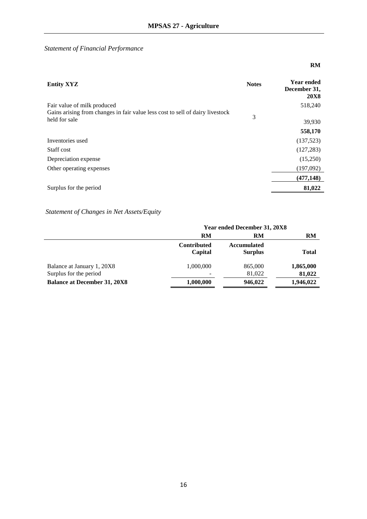**RM** 

### *Statement of Financial Performance*

### **Entity XYZ Notes Year ended December 31, 20X8** Fair value of milk produced 518,240 Gains arising from changes in fair value less cost to sell of dairy livestock 3<br>
3 39,930  **558,170**  Inventories used (137,523) Staff cost  $(127,283)$ Depreciation expense (15,250) Other operating expenses (197,092)  **(477,148)** Surplus for the period 81,022

#### *Statement of Changes in Net Assets/Equity*

|                                     | Year ended December 31, 20X8  |                                      |           |
|-------------------------------------|-------------------------------|--------------------------------------|-----------|
|                                     | RM                            | RM                                   | RM        |
|                                     | <b>Contributed</b><br>Capital | <b>Accumulated</b><br><b>Surplus</b> | Total     |
| Balance at January 1, 20X8          | 1,000,000                     | 865,000                              | 1,865,000 |
| Surplus for the period              |                               | 81,022                               | 81,022    |
| <b>Balance at December 31, 20X8</b> | 1,000,000                     | 946,022                              | 1,946,022 |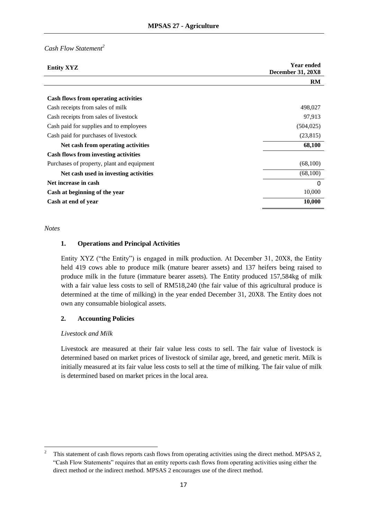### *Cash Flow Statement<sup>2</sup>*

| <b>Entity XYZ</b>                           | <b>Year ended</b><br><b>December 31, 20X8</b> |
|---------------------------------------------|-----------------------------------------------|
|                                             | RM                                            |
|                                             |                                               |
| <b>Cash flows from operating activities</b> |                                               |
| Cash receipts from sales of milk            | 498,027                                       |
| Cash receipts from sales of livestock       | 97,913                                        |
| Cash paid for supplies and to employees     | (504, 025)                                    |
| Cash paid for purchases of livestock        | (23, 815)                                     |
| Net cash from operating activities          | 68,100                                        |
| <b>Cash flows from investing activities</b> |                                               |
| Purchases of property, plant and equipment  | (68,100)                                      |
| Net cash used in investing activities       | (68,100)                                      |
| Net increase in cash                        | 0                                             |
| Cash at beginning of the year               | 10,000                                        |
| Cash at end of year                         | 10,000                                        |

#### *Notes*

#### **1. Operations and Principal Activities**

Entity XYZ ("the Entity") is engaged in milk production. At December 31, 20X8, the Entity held 419 cows able to produce milk (mature bearer assets) and 137 heifers being raised to produce milk in the future (immature bearer assets). The Entity produced 157,584kg of milk with a fair value less costs to sell of RM518,240 (the fair value of this agricultural produce is determined at the time of milking) in the year ended December 31, 20X8. The Entity does not own any consumable biological assets.

#### **2. Accounting Policies**

#### *Livestock and Milk*

Livestock are measured at their fair value less costs to sell. The fair value of livestock is determined based on market prices of livestock of similar age, breed, and genetic merit. Milk is initially measured at its fair value less costs to sell at the time of milking. The fair value of milk is determined based on market prices in the local area.

<sup>&</sup>lt;sup>2</sup> This statement of cash flows reports cash flows from operating activities using the direct method. MPSAS 2, "Cash Flow Statements" requires that an entity reports cash flows from operating activities using either the direct method or the indirect method. MPSAS 2 encourages use of the direct method.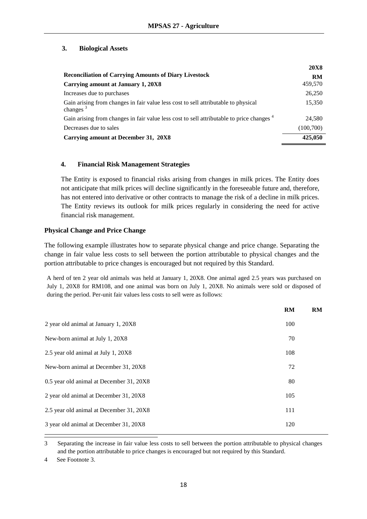### **3. Biological Assets**

|                                                                                                      | <b>20X8</b> |
|------------------------------------------------------------------------------------------------------|-------------|
| <b>Reconciliation of Carrying Amounts of Diary Livestock</b>                                         | RM          |
| Carrying amount at January 1, 20X8                                                                   | 459,570     |
| Increases due to purchases                                                                           | 26,250      |
| Gain arising from changes in fair value less cost to sell attributable to physical<br>changes $3$    | 15,350      |
| Gain arising from changes in fair value less cost to sell attributable to price changes <sup>4</sup> | 24,580      |
| Decreases due to sales                                                                               | (100, 700)  |
| Carrying amount at December 31, 20X8                                                                 | 425,050     |

### **4. Financial Risk Management Strategies**

The Entity is exposed to financial risks arising from changes in milk prices. The Entity does not anticipate that milk prices will decline significantly in the foreseeable future and, therefore, has not entered into derivative or other contracts to manage the risk of a decline in milk prices. The Entity reviews its outlook for milk prices regularly in considering the need for active financial risk management.

### **Physical Change and Price Change**

The following example illustrates how to separate physical change and price change. Separating the change in fair value less costs to sell between the portion attributable to physical changes and the portion attributable to price changes is encouraged but not required by this Standard.

A herd of ten 2 year old animals was held at January 1, 20X8. One animal aged 2.5 years was purchased on July 1, 20X8 for RM108, and one animal was born on July 1, 20X8. No animals were sold or disposed of during the period. Per-unit fair values less costs to sell were as follows:

|                                          | <b>RM</b> | <b>RM</b> |
|------------------------------------------|-----------|-----------|
| 2 year old animal at January 1, 20X8     | 100       |           |
| New-born animal at July 1, 20X8          | 70        |           |
| 2.5 year old animal at July 1, 20X8      | 108       |           |
| New-born animal at December 31, 20X8     | 72        |           |
| 0.5 year old animal at December 31, 20X8 | 80        |           |
| 2 year old animal at December 31, 20X8   | 105       |           |
| 2.5 year old animal at December 31, 20X8 | 111       |           |
| 3 year old animal at December 31, 20X8   | 120       |           |

<sup>3</sup> Separating the increase in fair value less costs to sell between the portion attributable to physical changes and the portion attributable to price changes is encouraged but not required by this Standard.

<sup>4</sup> See Footnote 3.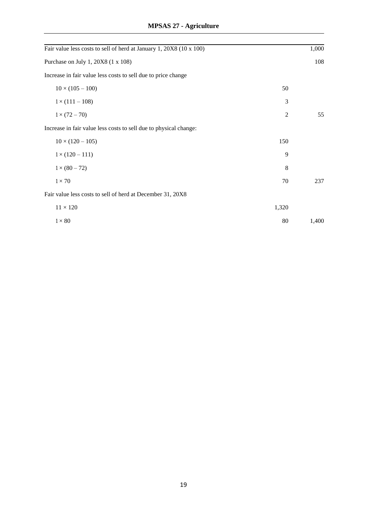| Fair value less costs to sell of herd at January 1, 20X8 (10 x 100) |                | 1,000 |
|---------------------------------------------------------------------|----------------|-------|
| Purchase on July 1, 20X8 (1 x 108)                                  |                | 108   |
| Increase in fair value less costs to sell due to price change       |                |       |
| $10 \times (105 - 100)$                                             | 50             |       |
| $1 \times (111 - 108)$                                              | 3              |       |
| $1 \times (72 - 70)$                                                | $\overline{c}$ | 55    |
| Increase in fair value less costs to sell due to physical change:   |                |       |
| $10 \times (120 - 105)$                                             | 150            |       |
| $1 \times (120 - 111)$                                              | 9              |       |
| $1 \times (80 - 72)$                                                | 8              |       |
| $1\times70$                                                         | 70             | 237   |
| Fair value less costs to sell of herd at December 31, 20X8          |                |       |
| $11\times120$                                                       | 1,320          |       |
| $1 \times 80$                                                       | 80             | 1,400 |